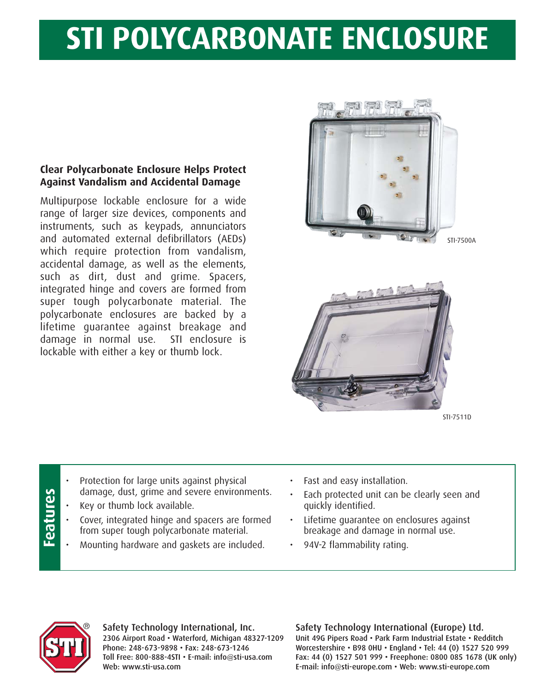## **STI POLYCARBONATE ENCLOSURE**

## **Clear Polycarbonate Enclosure Helps Protect Against Vandalism and Accidental Damage**

Multipurpose lockable enclosure for a wide range of larger size devices, components and instruments, such as keypads, annunciators and automated external defibrillators (AEDs) which require protection from vandalism, accidental damage, as well as the elements, such as dirt, dust and grime. Spacers, integrated hinge and covers are formed from super tough polycarbonate material. The polycarbonate enclosures are backed by a lifetime guarantee against breakage and damage in normal use. STI enclosure is lockable with either a key or thumb lock.



STI-7500A



STI-7511D

- Protection for large units against physical damage, dust, grime and severe environments.
- Key or thumb lock available.
- Cover, integrated hinge and spacers are formed from super tough polycarbonate material.
- Mounting hardware and gaskets are included.
- Fast and easy installation.
- Each protected unit can be clearly seen and quickly identified.
- Lifetime guarantee on enclosures against breakage and damage in normal use.
- 94V-2 flammability rating.



**Features**

Features

Safety Technology International, Inc. 2306 Airport Road • Waterford, Michigan 48327-1209 Phone: 248-673-9898 • Fax: 248-673-1246 Toll Free: 800-888-4STI • E-mail: info@sti-usa.com Web: www.sti-usa.com

Safety Technology International (Europe) Ltd. Unit 49G Pipers Road • Park Farm Industrial Estate • Redditch Worcestershire • B98 0HU • England • Tel: 44 (0) 1527 520 999 Fax: 44 (0) 1527 501 999 • Freephone: 0800 085 1678 (UK only) E-mail: info@sti-europe.com • Web: www.sti-europe.com